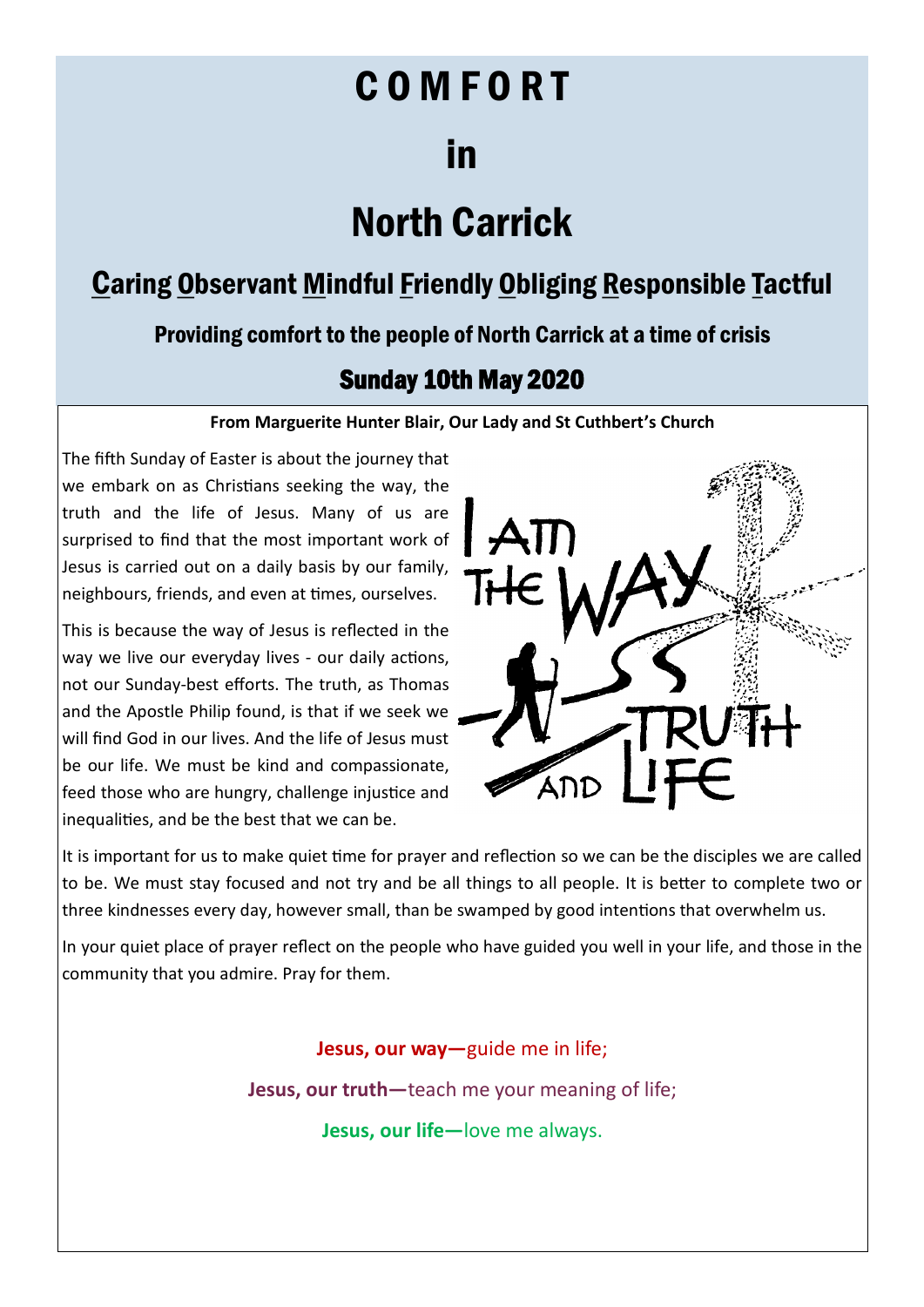# C O M F O R T

## in

## North Carrick

## Caring Observant Mindful Friendly Obliging Responsible Tactful

Providing comfort to the people of North Carrick at a time of crisis

## Sunday 10th May 2020

### **From Marguerite Hunter Blair, Our Lady and St Cuthbert's Church**

The fifth Sunday of Easter is about the journey that we embark on as Christians seeking the way, the truth and the life of Jesus. Many of us are surprised to find that the most important work of Jesus is carried out on a daily basis by our family, neighbours, friends, and even at times, ourselves.

This is because the way of Jesus is reflected in the way we live our everyday lives - our daily actions, not our Sunday-best efforts. The truth, as Thomas and the Apostle Philip found, is that if we seek we will find God in our lives. And the life of Jesus must be our life. We must be kind and compassionate, feed those who are hungry, challenge injustice and inequalities, and be the best that we can be.



It is important for us to make quiet time for prayer and reflection so we can be the disciples we are called to be. We must stay focused and not try and be all things to all people. It is better to complete two or three kindnesses every day, however small, than be swamped by good intentions that overwhelm us.

In your quiet place of prayer reflect on the people who have guided you well in your life, and those in the community that you admire. Pray for them.

> **Jesus, our way—**guide me in life; **Jesus, our truth—**teach me your meaning of life;

> > **Jesus, our life—**love me always.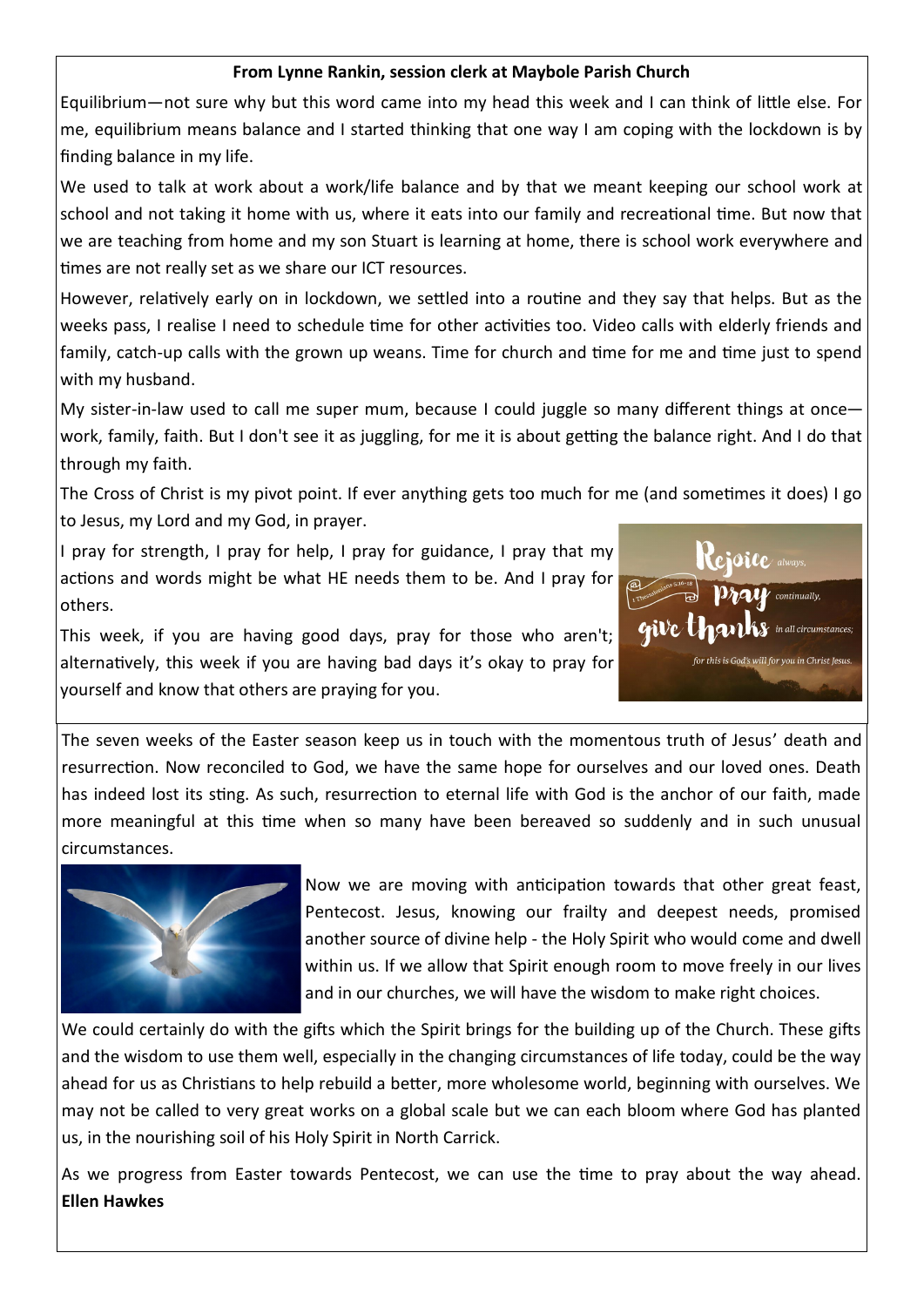### **From Lynne Rankin, session clerk at Maybole Parish Church**

Equilibrium—not sure why but this word came into my head this week and I can think of little else. For me, equilibrium means balance and I started thinking that one way I am coping with the lockdown is by finding balance in my life.

We used to talk at work about a work/life balance and by that we meant keeping our school work at school and not taking it home with us, where it eats into our family and recreational time. But now that we are teaching from home and my son Stuart is learning at home, there is school work everywhere and times are not really set as we share our ICT resources.

However, relatively early on in lockdown, we settled into a routine and they say that helps. But as the weeks pass, I realise I need to schedule time for other activities too. Video calls with elderly friends and family, catch-up calls with the grown up weans. Time for church and time for me and time just to spend with my husband.

My sister-in-law used to call me super mum, because I could juggle so many different things at once work, family, faith. But I don't see it as juggling, for me it is about getting the balance right. And I do that through my faith.

The Cross of Christ is my pivot point. If ever anything gets too much for me (and sometimes it does) I go to Jesus, my Lord and my God, in prayer.

I pray for strength, I pray for help, I pray for guidance, I pray that my actions and words might be what HE needs them to be. And I pray for others.



This week, if you are having good days, pray for those who aren't; alternatively, this week if you are having bad days it's okay to pray for yourself and know that others are praying for you.

The seven weeks of the Easter season keep us in touch with the momentous truth of Jesus' death and resurrection. Now reconciled to God, we have the same hope for ourselves and our loved ones. Death has indeed lost its sting. As such, resurrection to eternal life with God is the anchor of our faith, made more meaningful at this time when so many have been bereaved so suddenly and in such unusual circumstances.



Now we are moving with anticipation towards that other great feast, Pentecost. Jesus, knowing our frailty and deepest needs, promised another source of divine help - the Holy Spirit who would come and dwell within us. If we allow that Spirit enough room to move freely in our lives and in our churches, we will have the wisdom to make right choices.

We could certainly do with the gifts which the Spirit brings for the building up of the Church. These gifts and the wisdom to use them well, especially in the changing circumstances of life today, could be the way ahead for us as Christians to help rebuild a better, more wholesome world, beginning with ourselves. We may not be called to very great works on a global scale but we can each bloom where God has planted us, in the nourishing soil of his Holy Spirit in North Carrick.

As we progress from Easter towards Pentecost, we can use the time to pray about the way ahead. **Ellen Hawkes**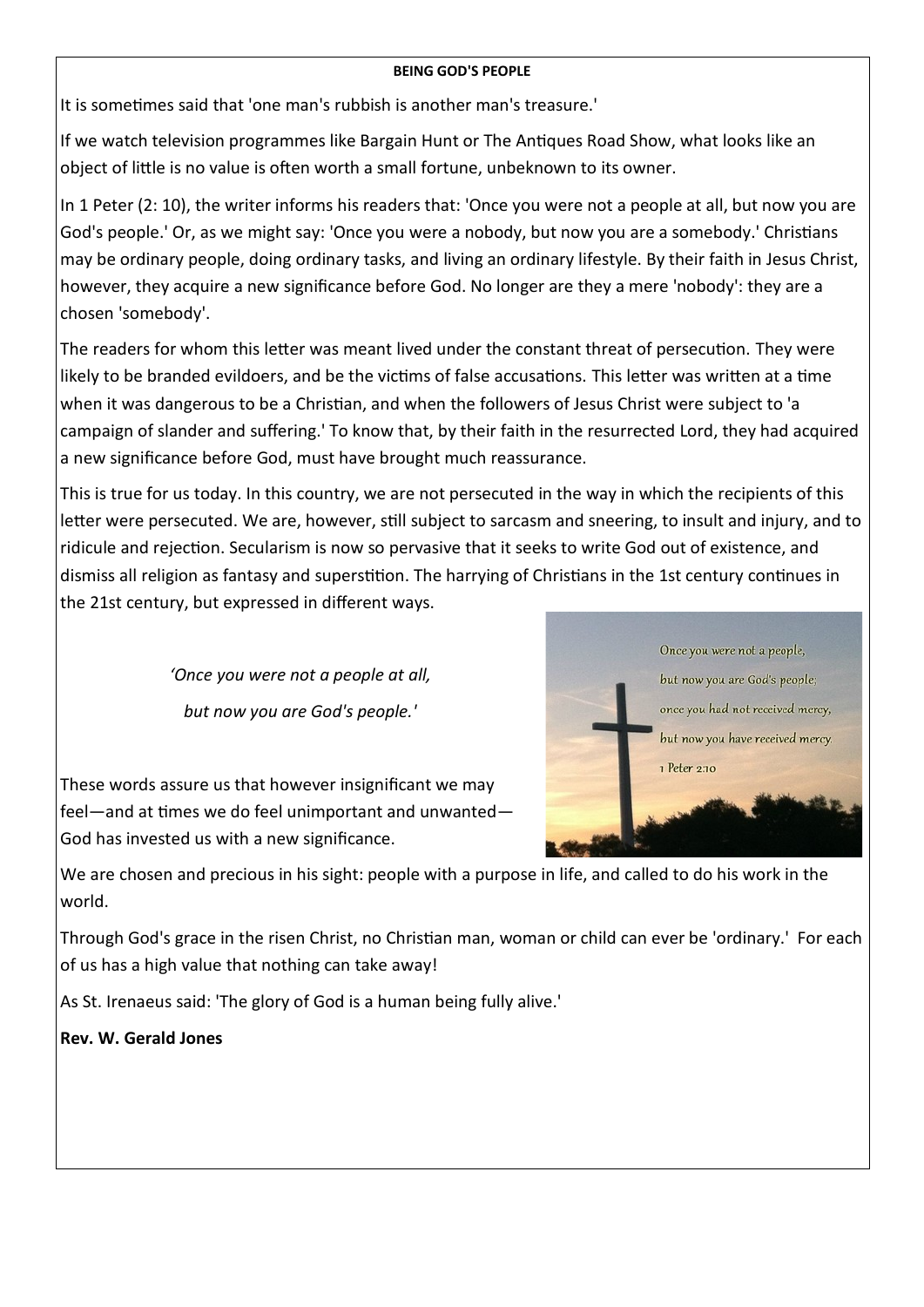#### **BEING GOD'S PEOPLE**

It is sometimes said that 'one man's rubbish is another man's treasure.'

If we watch television programmes like Bargain Hunt or The Antiques Road Show, what looks like an object of little is no value is often worth a small fortune, unbeknown to its owner.

In 1 Peter (2: 10), the writer informs his readers that: 'Once you were not a people at all, but now you are God's people.' Or, as we might say: 'Once you were a nobody, but now you are a somebody.' Christians may be ordinary people, doing ordinary tasks, and living an ordinary lifestyle. By their faith in Jesus Christ, however, they acquire a new significance before God. No longer are they a mere 'nobody': they are a chosen 'somebody'.

The readers for whom this letter was meant lived under the constant threat of persecution. They were likely to be branded evildoers, and be the victims of false accusations. This letter was written at a time when it was dangerous to be a Christian, and when the followers of Jesus Christ were subject to 'a campaign of slander and suffering.' To know that, by their faith in the resurrected Lord, they had acquired a new significance before God, must have brought much reassurance.

This is true for us today. In this country, we are not persecuted in the way in which the recipients of this letter were persecuted. We are, however, still subject to sarcasm and sneering, to insult and injury, and to ridicule and rejection. Secularism is now so pervasive that it seeks to write God out of existence, and dismiss all religion as fantasy and superstition. The harrying of Christians in the 1st century continues in the 21st century, but expressed in different ways.

> *'Once you were not a people at all, but now you are God's people.'*

These words assure us that however insignificant we may feel—and at times we do feel unimportant and unwanted— God has invested us with a new significance.



We are chosen and precious in his sight: people with a purpose in life, and called to do his work in the world.

Through God's grace in the risen Christ, no Christian man, woman or child can ever be 'ordinary.' For each of us has a high value that nothing can take away!

As St. Irenaeus said: 'The glory of God is a human being fully alive.'

**Rev. W. Gerald Jones**